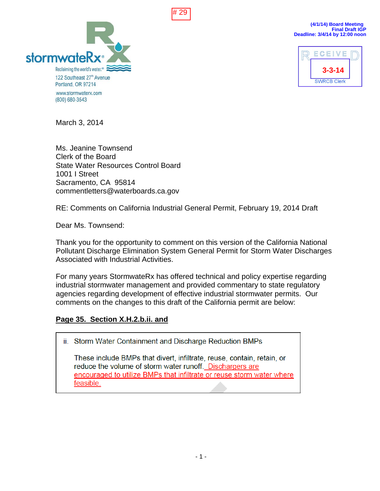



**(4/1/14) Board Meeting Final Draft IGP Deadline: 3/4/14 by 12:00 noon**



March 3, 2014

Ms. Jeanine Townsend Clerk of the Board State Water Resources Control Board 1001 I Street Sacramento, CA 95814 commentletters@waterboards.ca.gov

RE: Comments on California Industrial General Permit, February 19, 2014 Draft

Dear Ms. Townsend:

Thank you for the opportunity to comment on this version of the California National Pollutant Discharge Elimination System General Permit for Storm Water Discharges Associated with Industrial Activities.

For many years StormwateRx has offered technical and policy expertise regarding industrial stormwater management and provided commentary to state regulatory agencies regarding development of effective industrial stormwater permits. Our comments on the changes to this draft of the California permit are below:

## **Page 35. Section X.H.2.b.ii. and**

ii. Storm Water Containment and Discharge Reduction BMPs

These include BMPs that divert, infiltrate, reuse, contain, retain, or reduce the volume of storm water runoff. Dischargers are encouraged to utilize BMPs that infiltrate or reuse storm water where feasible.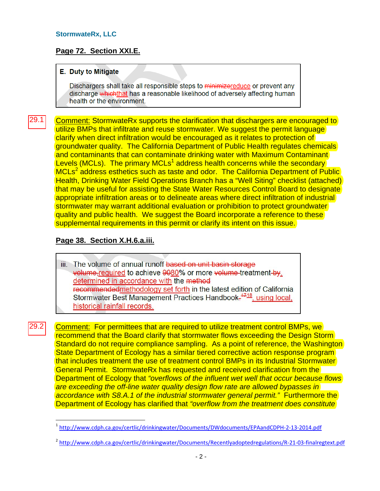#### **StormwateRx, LLC**

## **Page 72. Section XXI.E.**

#### **E.** Duty to Mitigate

Dischargers shall take all responsible steps to minimizereduce or prevent any discharge whichthat has a reasonable likelihood of adversely affecting human health or the environment.

Comment: StormwateRx supports the clarification that dischargers are encouraged to utilize BMPs that infiltrate and reuse stormwater. We suggest the permit language clarify when direct infiltration would be encouraged as it relates to protection of groundwater quality. The California Department of Public Health regulates chemicals and contaminants that can contaminate drinking water with Maximum Contaminant Levels (MCLs). The primary MCLs<sup>1</sup> address health concerns while the secondary MCLs<sup>2</sup> address esthetics such as taste and odor. The California Department of Public Health, Drinking Water Field Operations Branch has a "Well Siting" checklist (attached) that may be useful for assisting the State Water Resources Control Board to designate appropriate infiltration areas or to delineate areas where direct infiltration of industrial stormwater may warrant additional evaluation or prohibition to protect groundwater quality and public health. We suggest the Board incorporate a reference to these supplemental requirements in this permit or clarify its intent on this issue. 29.1

#### **Page 38. Section X.H.6.a.iii.**

 $\overline{a}$ 

29.2

iii. The volume of annual runoff based on unit basin storage volume-required to achieve 9080% or more volume-treatment-by. determined in accordance with the method recommendedmethodology set forth in the latest edition of California Stormwater Best Management Practices Handbook.<sup>4718</sup>, using local, historical rainfall records.

Comment: For permittees that are required to utilize treatment control BMPs, we recommend that the Board clarify that stormwater flows exceeding the Design Storm Standard do not require compliance sampling. As a point of reference, the Washington State Department of Ecology has a similar tiered corrective action response program that includes treatment the use of treatment control BMPs in its Industrial Stormwater General Permit. StormwateRx has requested and received clarification from the Department of Ecology that *"overflows of the influent wet well that occur because flows are exceeding the off-line water quality design flow rate are allowed bypasses in accordance with S8.A.1 of the industrial stormwater general permit."* Furthermore the Department of Ecology has clarified that *"overflow from the treatment does constitute* 

<sup>&</sup>lt;sup>1</sup> http://www.cdph.ca.gov/certlic/drinkingwater/Documents/DWdocuments/EPAandCDPH-2-13-2014.pdf

<sup>&</sup>lt;sup>2</sup> http://www.cdph.ca.gov/certlic/drinkingwater/Documents/Recentlyadoptedregulations/R-21-03-finalregtext.pdf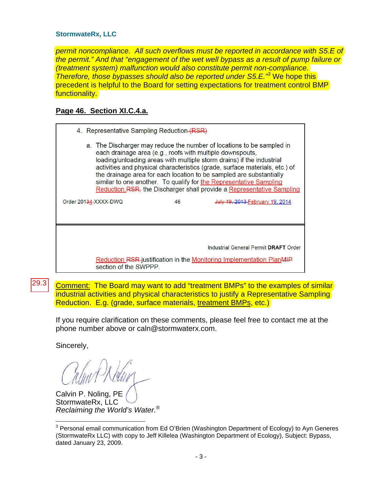#### **StormwateRx, LLC**

*permit noncompliance. All such overflows must be reported in accordance with S5.E of the permit." And that "engagement of the wet well bypass as a result of pump failure or (treatment system) malfunction would also constitute permit non-compliance. Therefore, those bypasses should also be reported under S5.E."3* We hope this precedent is helpful to the Board for setting expectations for treatment control BMP functionality.

## **Page 46. Section XI.C.4.a.**

| 4. Representative Sampling Reduction (RSR)                                                                                                                                                                                                                                                                                                                                                                                                                                                                        |    |                                        |  |  |
|-------------------------------------------------------------------------------------------------------------------------------------------------------------------------------------------------------------------------------------------------------------------------------------------------------------------------------------------------------------------------------------------------------------------------------------------------------------------------------------------------------------------|----|----------------------------------------|--|--|
| a. The Discharger may reduce the number of locations to be sampled in<br>each drainage area (e.g., roofs with multiple downspouts,<br>loading/unloading areas with multiple storm drains) if the industrial<br>activities and physical characteristics (grade, surface materials, etc.) of<br>the drainage area for each location to be sampled are substantially<br>similar to one another. To qualify for the Representative Sampling<br>Reduction, RSR, the Discharger shall provide a Representative Sampling |    |                                        |  |  |
| Order 20134-XXXX-DWQ                                                                                                                                                                                                                                                                                                                                                                                                                                                                                              | 46 | <b>July 19, 2013 February 19, 2014</b> |  |  |
|                                                                                                                                                                                                                                                                                                                                                                                                                                                                                                                   |    |                                        |  |  |
|                                                                                                                                                                                                                                                                                                                                                                                                                                                                                                                   |    |                                        |  |  |
|                                                                                                                                                                                                                                                                                                                                                                                                                                                                                                                   |    | Industrial General Permit DRAFT Order  |  |  |
| <b>Reduction RSR-justification in the Monitoring Implementation PlanMIP</b><br>section of the SWPPP.                                                                                                                                                                                                                                                                                                                                                                                                              |    |                                        |  |  |

Comment: The Board may want to add "treatment BMPs" to the examples of similar industrial activities and physical characteristics to justify a Representative Sampling Reduction. E.g. (grade, surface materials, treatment BMPs, etc.) 29.3

If you require clarification on these comments, please feel free to contact me at the phone number above or caln@stormwaterx.com.

Sincerely,

Calvin P. Noling, PE StormwateRx, LLC *Reclaiming the World's Water.®*

 $\overline{a}$  $3$  Personal email communication from Ed O'Brien (Washington Department of Ecology) to Ayn Generes (StormwateRx LLC) with copy to Jeff Killelea (Washington Department of Ecology), Subject: Bypass, dated January 23, 2009.